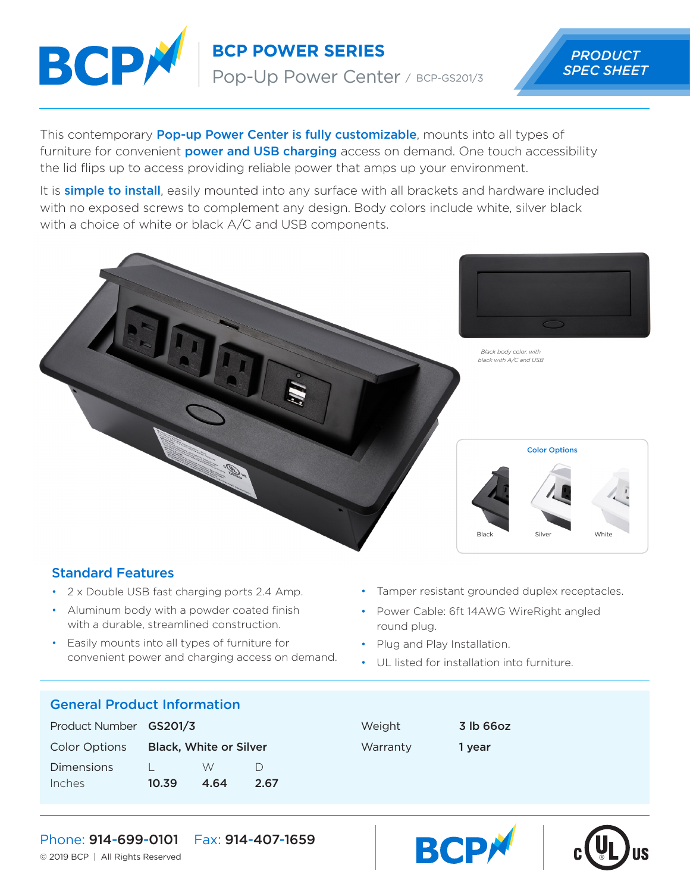

**BCP POWER SERIES** PRODUCT

Pop-Up Power Center / BCP-GS201/3

# *SPEC SHEET*

This contemporary **Pop-up Power Center is fully customizable**, mounts into all types of furniture for convenient **power and USB charging** access on demand. One touch accessibility the lid flips up to access providing reliable power that amps up your environment.

It is **simple to install**, easily mounted into any surface with all brackets and hardware included with no exposed screws to complement any design. Body colors include white, silver black with a choice of white or black A/C and USB components.



## Standard Features

- 2 x Double USB fast charging ports 2.4 Amp.
- Aluminum body with a powder coated finish with a durable, streamlined construction.
- Easily mounts into all types of furniture for convenient power and charging access on demand.
- Tamper resistant grounded duplex receptacles.
- Power Cable: 6ft 14AWG WireRight angled round plug.
- Plug and Play Installation.
- UL listed for installation into furniture.

#### General Product Information

| Product Number GS201/3 |                               |      |           |
|------------------------|-------------------------------|------|-----------|
| <b>Color Options</b>   | <b>Black, White or Silver</b> |      |           |
| Dimensions             |                               | W    | $\vert$ ) |
| Inches                 | 10.39                         | 4.64 | 2.67      |

Weight **3 lb 66oz** Warranty 1 year





Phone: 914-699-0101 Fax: 914-407-1659

© 2019 BCP | All Rights Reserved